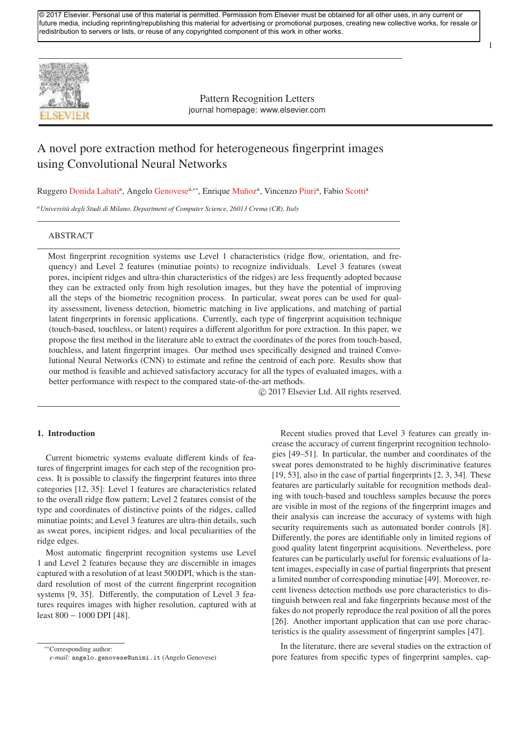© 2017 Elsevier. Personal use of this material is permitted. Permission from Elsevier must be obtained for all other uses, in any current or future media, including reprinting/republishing this material for advertising or promotional purposes, creating new collective works, for resale or redistribution to servers or lists, or reuse of any copyrighted component of this work in other works.



Pattern Recognition Letters journal homepage: www.elsevier.com

# A novel pore extraction method for heterogeneous fingerprint images using Convolutional Neural Networks

Ruggero Donida Labati<sup>a</sup>, Angelo Genovese<sup>a,</sup>\*\*, Enrique Muñoz<sup>a</sup>, Vincenzo Piuri<sup>a</sup>, Fabio Scotti<sup>a</sup>

<sup>a</sup> Università degli Studi di Milano, Department of Computer Science, 26013 Crema (CR), Italy

# ABSTRACT

Most fingerprint recognition systems use Level 1 characteristics (ridge flow, orientation, and frequency) and Level 2 features (minutiae points) to recognize individuals. Level 3 features (sweat pores, incipient ridges and ultra-thin characteristics of the ridges) are less frequently adopted because they can be extracted only from high resolution images, but they have the potential of improving all the steps of the biometric recognition process. In particular, sweat pores can be used for quality assessment, liveness detection, biometric matching in live applications, and matching of partial latent fingerprints in forensic applications. Currently, each type of fingerprint acquisition technique (touch-based, touchless, or latent) requires a different algorithm for pore extraction. In this paper, we propose the first method in the literature able to extract the coordinates of the pores from touch-based, touchless, and latent fingerprint images. Our method uses specifically designed and trained Convolutional Neural Networks (CNN) to estimate and refine the centroid of each pore. Results show that our method is feasible and achieved satisfactory accuracy for all the types of evaluated images, with a better performance with respect to the compared state-of-the-art methods.

c 2017 Elsevier Ltd. All rights reserved.

# **1. Introduction**

Current biometric systems evaluate different kinds of features of fingerprint images for each step of the recognition process. It is possible to classify the fingerprint features into three categories [12, 35]: Level 1 features are characteristics related to the overall ridge flow pattern; Level 2 features consist of the type and coordinates of distinctive points of the ridges, called minutiae points; and Level 3 features are ultra-thin details, such as sweat pores, incipient ridges, and local peculiarities of the ridge edges.

Most automatic fingerprint recognition systems use Level 1 and Level 2 features because they are discernible in images captured with a resolution of at least 500DPI, which is the standard resolution of most of the current fingerprint recognition systems [9, 35]. Differently, the computation of Level 3 features requires images with higher resolution, captured with at least 800 − 1000 DPI [48].

∗∗Corresponding author:

*e-mail:* angelo.genovese@unimi.it (Angelo Genovese)

Recent studies proved that Level 3 features can greatly increase the accuracy of current fingerprint recognition technologies [49–51]. In particular, the number and coordinates of the sweat pores demonstrated to be highly discriminative features [19, 53], also in the case of partial fingerprints [2, 3, 34]. These features are particularly suitable for recognition methods dealing with touch-based and touchless samples because the pores are visible in most of the regions of the fingerprint images and their analysis can increase the accuracy of systems with high security requirements such as automated border controls [8]. Differently, the pores are identifiable only in limited regions of good quality latent fingerprint acquisitions. Nevertheless, pore features can be particularly useful for forensic evaluations of latent images, especially in case of partial fingerprints that present a limited number of corresponding minutiae [49]. Moreover, recent liveness detection methods use pore characteristics to distinguish between real and fake fingerprints because most of the fakes do not properly reproduce the real position of all the pores [26]. Another important application that can use pore characteristics is the quality assessment of fingerprint samples [47].

1

In the literature, there are several studies on the extraction of pore features from specific types of fingerprint samples, cap-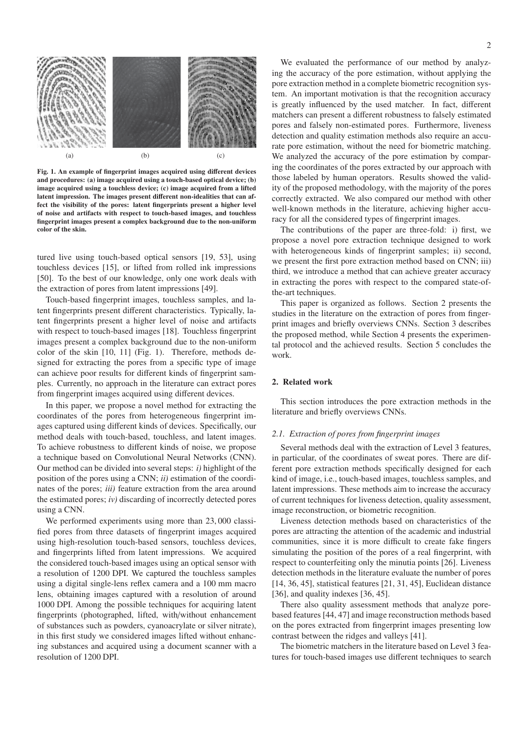

**Fig. 1. An example of fingerprint images acquired using di**ff**erent devices and procedures: (a) image acquired using a touch-based optical device; (b) image acquired using a touchless device; (c) image acquired from a lifted** latent impression. The images present different non-idealities that can af**fect the visibility of the pores: latent fingerprints present a higher level of noise and artifacts with respect to touch-based images, and touchless fingerprint images present a complex background due to the non-uniform color of the skin.**

tured live using touch-based optical sensors [19, 53], using touchless devices [15], or lifted from rolled ink impressions [50]. To the best of our knowledge, only one work deals with the extraction of pores from latent impressions [49].

Touch-based fingerprint images, touchless samples, and latent fingerprints present different characteristics. Typically, latent fingerprints present a higher level of noise and artifacts with respect to touch-based images [18]. Touchless fingerprint images present a complex background due to the non-uniform color of the skin [10, 11] (Fig. 1). Therefore, methods designed for extracting the pores from a specific type of image can achieve poor results for different kinds of fingerprint samples. Currently, no approach in the literature can extract pores from fingerprint images acquired using different devices.

In this paper, we propose a novel method for extracting the coordinates of the pores from heterogeneous fingerprint images captured using different kinds of devices. Specifically, our method deals with touch-based, touchless, and latent images. To achieve robustness to different kinds of noise, we propose a technique based on Convolutional Neural Networks (CNN). Our method can be divided into several steps: *i)* highlight of the position of the pores using a CNN; *ii)* estimation of the coordinates of the pores; *iii)* feature extraction from the area around the estimated pores; *iv)* discarding of incorrectly detected pores using a CNN.

We performed experiments using more than 23,000 classified pores from three datasets of fingerprint images acquired using high-resolution touch-based sensors, touchless devices, and fingerprints lifted from latent impressions. We acquired the considered touch-based images using an optical sensor with a resolution of 1200 DPI. We captured the touchless samples using a digital single-lens reflex camera and a 100 mm macro lens, obtaining images captured with a resolution of around 1000 DPI. Among the possible techniques for acquiring latent fingerprints (photographed, lifted, with/without enhancement of substances such as powders, cyanoacrylate or silver nitrate), in this first study we considered images lifted without enhancing substances and acquired using a document scanner with a resolution of 1200 DPI.

We evaluated the performance of our method by analyzing the accuracy of the pore estimation, without applying the pore extraction method in a complete biometric recognition system. An important motivation is that the recognition accuracy is greatly influenced by the used matcher. In fact, different matchers can present a different robustness to falsely estimated pores and falsely non-estimated pores. Furthermore, liveness detection and quality estimation methods also require an accurate pore estimation, without the need for biometric matching. We analyzed the accuracy of the pore estimation by comparing the coordinates of the pores extracted by our approach with those labeled by human operators. Results showed the validity of the proposed methodology, with the majority of the pores correctly extracted. We also compared our method with other well-known methods in the literature, achieving higher accuracy for all the considered types of fingerprint images.

The contributions of the paper are three-fold: i) first, we propose a novel pore extraction technique designed to work with heterogeneous kinds of fingerprint samples; ii) second, we present the first pore extraction method based on CNN; iii) third, we introduce a method that can achieve greater accuracy in extracting the pores with respect to the compared state-ofthe-art techniques.

This paper is organized as follows. Section 2 presents the studies in the literature on the extraction of pores from fingerprint images and briefly overviews CNNs. Section 3 describes the proposed method, while Section 4 presents the experimental protocol and the achieved results. Section 5 concludes the work.

# **2. Related work**

This section introduces the pore extraction methods in the literature and briefly overviews CNNs.

# *2.1. Extraction of pores from fingerprint images*

Several methods deal with the extraction of Level 3 features, in particular, of the coordinates of sweat pores. There are different pore extraction methods specifically designed for each kind of image, i.e., touch-based images, touchless samples, and latent impressions. These methods aim to increase the accuracy of current techniques for liveness detection, quality assessment, image reconstruction, or biometric recognition.

Liveness detection methods based on characteristics of the pores are attracting the attention of the academic and industrial communities, since it is more difficult to create fake fingers simulating the position of the pores of a real fingerprint, with respect to counterfeiting only the minutia points [26]. Liveness detection methods in the literature evaluate the number of pores [14, 36, 45], statistical features [21, 31, 45], Euclidean distance [36], and quality indexes [36, 45].

There also quality assessment methods that analyze porebased features [44, 47] and image reconstruction methods based on the pores extracted from fingerprint images presenting low contrast between the ridges and valleys [41].

The biometric matchers in the literature based on Level 3 features for touch-based images use different techniques to search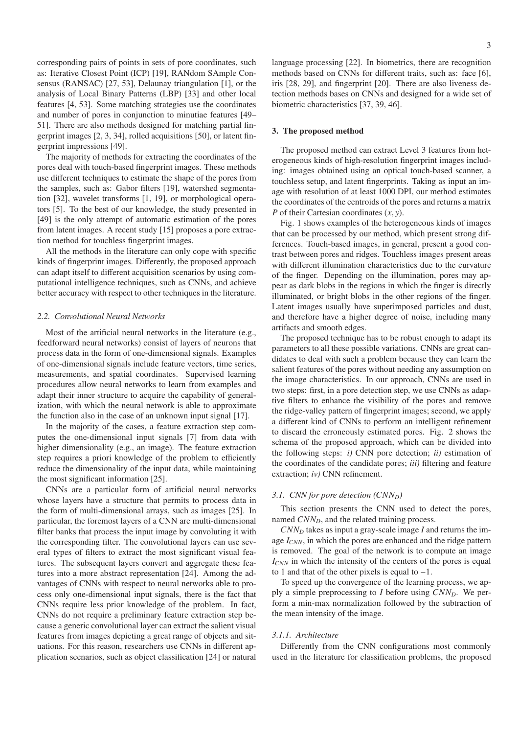corresponding pairs of points in sets of pore coordinates, such as: Iterative Closest Point (ICP) [19], RANdom SAmple Consensus (RANSAC) [27, 53], Delaunay triangulation [1], or the analysis of Local Binary Patterns (LBP) [33] and other local features [4, 53]. Some matching strategies use the coordinates and number of pores in conjunction to minutiae features [49– 51]. There are also methods designed for matching partial fingerprint images [2, 3, 34], rolled acquisitions [50], or latent fingerprint impressions [49].

The majority of methods for extracting the coordinates of the pores deal with touch-based fingerprint images. These methods use different techniques to estimate the shape of the pores from the samples, such as: Gabor filters [19], watershed segmentation [32], wavelet transforms [1, 19], or morphological operators [5]. To the best of our knowledge, the study presented in [49] is the only attempt of automatic estimation of the pores from latent images. A recent study [15] proposes a pore extraction method for touchless fingerprint images.

All the methods in the literature can only cope with specific kinds of fingerprint images. Differently, the proposed approach can adapt itself to different acquisition scenarios by using computational intelligence techniques, such as CNNs, and achieve better accuracy with respect to other techniques in the literature.

#### *2.2. Convolutional Neural Networks*

Most of the artificial neural networks in the literature (e.g., feedforward neural networks) consist of layers of neurons that process data in the form of one-dimensional signals. Examples of one-dimensional signals include feature vectors, time series, measurements, and spatial coordinates. Supervised learning procedures allow neural networks to learn from examples and adapt their inner structure to acquire the capability of generalization, with which the neural network is able to approximate the function also in the case of an unknown input signal [17].

In the majority of the cases, a feature extraction step computes the one-dimensional input signals [7] from data with higher dimensionality (e.g., an image). The feature extraction step requires a priori knowledge of the problem to efficiently reduce the dimensionality of the input data, while maintaining the most significant information [25].

CNNs are a particular form of artificial neural networks whose layers have a structure that permits to process data in the form of multi-dimensional arrays, such as images [25]. In particular, the foremost layers of a CNN are multi-dimensional filter banks that process the input image by convoluting it with the corresponding filter. The convolutional layers can use several types of filters to extract the most significant visual features. The subsequent layers convert and aggregate these features into a more abstract representation [24]. Among the advantages of CNNs with respect to neural networks able to process only one-dimensional input signals, there is the fact that CNNs require less prior knowledge of the problem. In fact, CNNs do not require a preliminary feature extraction step because a generic convolutional layer can extract the salient visual features from images depicting a great range of objects and situations. For this reason, researchers use CNNs in different application scenarios, such as object classification [24] or natural

language processing [22]. In biometrics, there are recognition methods based on CNNs for different traits, such as: face [6], iris [28, 29], and fingerprint [20]. There are also liveness detection methods bases on CNNs and designed for a wide set of biometric characteristics [37, 39, 46].

# **3. The proposed method**

The proposed method can extract Level 3 features from heterogeneous kinds of high-resolution fingerprint images including: images obtained using an optical touch-based scanner, a touchless setup, and latent fingerprints. Taking as input an image with resolution of at least 1000 DPI, our method estimates the coordinates of the centroids of the pores and returns a matrix *P* of their Cartesian coordinates (*x*, *y*).

Fig. 1 shows examples of the heterogeneous kinds of images that can be processed by our method, which present strong differences. Touch-based images, in general, present a good contrast between pores and ridges. Touchless images present areas with different illumination characteristics due to the curvature of the finger. Depending on the illumination, pores may appear as dark blobs in the regions in which the finger is directly illuminated, or bright blobs in the other regions of the finger. Latent images usually have superimposed particles and dust, and therefore have a higher degree of noise, including many artifacts and smooth edges.

The proposed technique has to be robust enough to adapt its parameters to all these possible variations. CNNs are great candidates to deal with such a problem because they can learn the salient features of the pores without needing any assumption on the image characteristics. In our approach, CNNs are used in two steps: first, in a pore detection step, we use CNNs as adaptive filters to enhance the visibility of the pores and remove the ridge-valley pattern of fingerprint images; second, we apply a different kind of CNNs to perform an intelligent refinement to discard the erroneously estimated pores. Fig. 2 shows the schema of the proposed approach, which can be divided into the following steps: *i)* CNN pore detection; *ii)* estimation of the coordinates of the candidate pores; *iii)* filtering and feature extraction; *iv)* CNN refinement.

# *3.1. CNN for pore detection (CNN<sub>D</sub>)*

This section presents the CNN used to detect the pores, named *CNN<sub>D</sub>*, and the related training process.

*CNND* takes as input a gray-scale image *I* and returns the image  $I_{CNN}$ , in which the pores are enhanced and the ridge pattern is removed. The goal of the network is to compute an image *ICNN* in which the intensity of the centers of the pores is equal to 1 and that of the other pixels is equal to −1.

To speed up the convergence of the learning process, we apply a simple preprocessing to *I* before using *CNN<sub>D</sub>*. We perform a min-max normalization followed by the subtraction of the mean intensity of the image.

#### *3.1.1. Architecture*

Differently from the CNN configurations most commonly used in the literature for classification problems, the proposed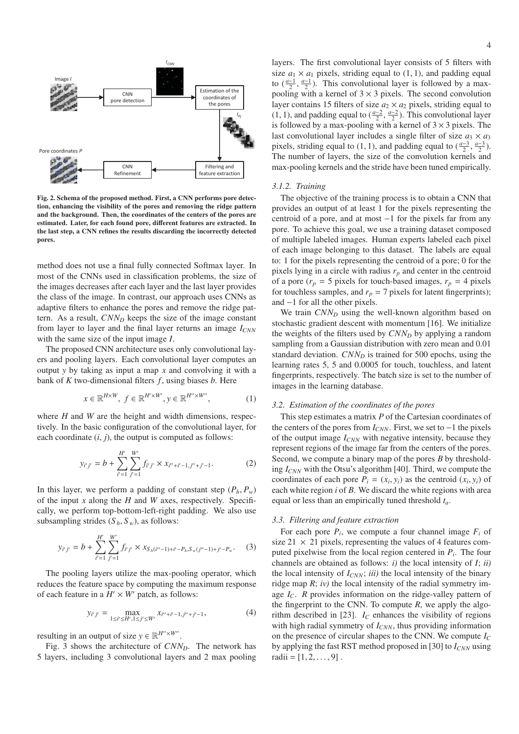

**Fig. 2. Schema of the proposed method. First, a CNN performs pore detection, enhancing the visibility of the pores and removing the ridge pattern and the background. Then, the coordinates of the centers of the pores are estimated. Later, for each found pore, di**ff**erent features are extracted. In the last step, a CNN refines the results discarding the incorrectly detected pores.**

method does not use a final fully connected Softmax layer. In most of the CNNs used in classification problems, the size of the images decreases after each layer and the last layer provides the class of the image. In contrast, our approach uses CNNs as adaptive filters to enhance the pores and remove the ridge pattern. As a result, *CNN<sub>D</sub>* keeps the size of the image constant from layer to layer and the final layer returns an image  $I_{CNN}$ with the same size of the input image *I*.

The proposed CNN architecture uses only convolutional layers and pooling layers. Each convolutional layer computes an output *y* by taking as input a map *x* and convolving it with a bank of *K* two-dimensional filters *f* , using biases *b*. Here

$$
x \in \mathbb{R}^{H \times W}, \ f \in \mathbb{R}^{H' \times W'}, y \in \mathbb{R}^{H'' \times W''}, \tag{1}
$$

where *H* and *W* are the height and width dimensions, respectively. In the basic configuration of the convolutional layer, for each coordinate  $(i, j)$ , the output is computed as follows:

$$
y_{i'j'} = b + \sum_{i'=1}^{H'} \sum_{j'=1}^{W'} f_{i'j'} \times x_{i''+i'-1,j''+j'-1}.
$$
 (2)

In this layer, we perform a padding of constant step  $(P_h, P_w)$ of the input *x* along the *H* and *W* axes, respectively. Specifically, we perform top-bottom-left-right padding. We also use subsampling strides  $(S_h, S_w)$ , as follows:

$$
y_{i'j'} = b + \sum_{i'=1}^{H'} \sum_{j'=1}^{W'} f_{i'j'} \times x_{S_h(i''-1)+i'-P_h, S_w(j''-1)+j'-P_w}.
$$
 (3)

The pooling layers utilize the max-pooling operator, which reduces the feature space by computing the maximum response of each feature in a  $H' \times W'$  patch, as follows:

$$
y_{i'j'} = \max_{1 \le i' \le H', 1 \le j' \le W'} x_{i''+i'-1, j''+j'-1},
$$
 (4)

resulting in an output of size  $y \in \mathbb{R}^{H'' \times W''}$ .

Fig. 3 shows the architecture of  $CNN<sub>D</sub>$ . The network has 5 layers, including 3 convolutional layers and 2 max pooling layers. The first convolutional layer consists of 5 filters with size  $a_1 \times a_1$  pixels, striding equal to (1, 1), and padding equal to  $(\frac{a-1}{2}, \frac{a-1}{2})$ . This convolutional layer is followed by a maxpooling with a kernel of  $3 \times 3$  pixels. The second convolution layer contains 15 filters of size  $a_2 \times a_2$  pixels, striding equal to (1, 1), and padding equal to  $(\frac{a-2}{2}, \frac{a-2}{2})$ . This convolutional layer is followed by a max-pooling with a kernel of  $3 \times 3$  pixels. The last convolutional layer includes a single filter of size  $a_3 \times a_3$ pixels, striding equal to (1, 1), and padding equal to  $(\frac{a-3}{2}, \frac{a-3}{2})$ . The number of layers, the size of the convolution kernels and max-pooling kernels and the stride have been tuned empirically.

## *3.1.2. Training*

The objective of the training process is to obtain a CNN that provides an output of at least 1 for the pixels representing the centroid of a pore, and at most −1 for the pixels far from any pore. To achieve this goal, we use a training dataset composed of multiple labeled images. Human experts labeled each pixel of each image belonging to this dataset. The labels are equal to: 1 for the pixels representing the centroid of a pore; 0 for the pixels lying in a circle with radius  $r_p$  and center in the centroid of a pore ( $r_p = 5$  pixels for touch-based images,  $r_p = 4$  pixels for touchless samples, and  $r_p = 7$  pixels for latent fingerprints); and −1 for all the other pixels.

We train *CNN<sub>D</sub>* using the well-known algorithm based on stochastic gradient descent with momentum [16]. We initialize the weights of the filters used by *CNN<sub>D</sub>* by applying a random sampling from a Gaussian distribution with zero mean and 0.01 standard deviation. *CNN<sub>D</sub>* is trained for 500 epochs, using the learning rates 5, 5 and 0.0005 for touch, touchless, and latent fingerprints, respectively. The batch size is set to the number of images in the learning database.

#### *3.2. Estimation of the coordinates of the pores*

This step estimates a matrix *P* of the Cartesian coordinates of the centers of the pores from  $I_{CNN}$ . First, we set to −1 the pixels of the output image  $I_{CNN}$  with negative intensity, because they represent regions of the image far from the centers of the pores. Second, we compute a binary map of the pores *B* by thresholding  $I_{CNN}$  with the Otsu's algorithm [40]. Third, we compute the coordinates of each pore  $P_i = (x_i, y_i)$  as the centroid  $(x_i, y_i)$  of each white region *i* of *B*. We discard the white regions with area equal or less than an empirically tuned threshold *ta*.

## *3.3. Filtering and feature extraction*

For each pore  $P_i$ , we compute a four channel image  $F_i$  of size  $21 \times 21$  pixels, representing the values of 4 features computed pixelwise from the local region centered in *Pi*. The four channels are obtained as follows: *i)* the local intensity of *I*; *ii)* the local intensity of  $I_{CNN}$ ; *iii*) the local intensity of the binary ridge map *R*; *iv)* the local intensity of the radial symmetry image *IC*. *R* provides information on the ridge-valley pattern of the fingerprint to the CNN. To compute  $R$ , we apply the algorithm described in [23].  $I_C$  enhances the visibility of regions with high radial symmetry of  $I_{CNN}$ , thus providing information on the presence of circular shapes to the CNN. We compute  $I_C$ by applying the fast RST method proposed in [30] to *ICNN* using radii =  $[1, 2, \ldots, 9]$ .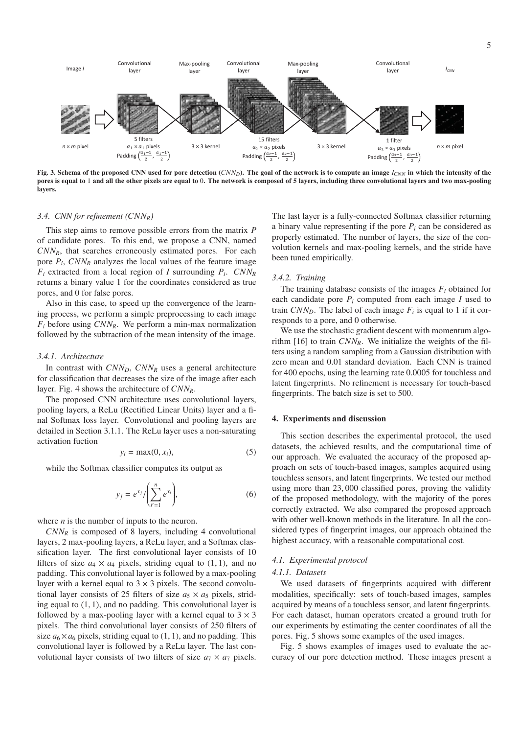lmage / and a layer and a layer and a layer and a layer and a layer and layer and layer a layer and layer and low Convolutional layer Max-pooling layer Convolutional layer Max-pooling läyer Convolutional layer 5 filters  $a_1 \times a_1$  pixels Padding  $\left(\frac{a_1-1}{2}, \frac{a_1-1}{2}\right)$ 15 filters  $a_2 \times a_2$  pixels Padding  $\left(\frac{a_2-1}{2}, \frac{a_2-1}{2}\right)$ 1 filte  $a_3 \times a_3$  pixels Padding  $\left(\frac{a_3-1}{2}, \frac{a_3-1}{2}\right)$  $n \times m$  pixel  $a_1 \times a_1$  pixels  $a_2 \times a_3$  bixels  $a_3 \times a_2$  pixels  $a_4 \times a_5$  and  $n \times m$  pixel

**Fig. 3. Schema of the proposed CNN used for pore detection (***CNND***). The goal of the network is to compute an image** *ICNN* **in which the intensity of the pores is equal to** 1 **and all the other pixels are equal to** 0**. The network is composed of 5 layers, including three convolutional layers and two max-pooling layers.**

### *3.4. CNN for refinement (CNNR)*

This step aims to remove possible errors from the matrix *P* of candidate pores. To this end, we propose a CNN, named *CNNR*, that searches erroneously estimated pores. For each pore  $P_i$ ,  $CNN_R$  analyzes the local values of the feature image  $F_i$  extracted from a local region of *I* surrounding  $P_i$ . *CNNR* returns a binary value 1 for the coordinates considered as true pores, and 0 for false pores.

Also in this case, to speed up the convergence of the learning process, we perform a simple preprocessing to each image *Fi* before using *CNNR*. We perform a min-max normalization followed by the subtraction of the mean intensity of the image.

## *3.4.1. Architecture*

In contrast with *CNN<sub>D</sub>*, *CNN<sub>R</sub>* uses a general architecture for classification that decreases the size of the image after each layer. Fig. 4 shows the architecture of *CNNR*.

The proposed CNN architecture uses convolutional layers, pooling layers, a ReLu (Rectified Linear Units) layer and a final Softmax loss layer. Convolutional and pooling layers are detailed in Section 3.1.1. The ReLu layer uses a non-saturating activation fuction

$$
y_i = \max(0, x_i),\tag{5}
$$

while the Softmax classifier computes its output as

$$
y_j = e^{x_j} / \left(\sum_{i'=1}^n e^{x_i}\right),\tag{6}
$$

where *n* is the number of inputs to the neuron.

 $CNN_R$  is composed of 8 layers, including 4 convolutional layers, 2 max-pooling layers, a ReLu layer, and a Softmax classification layer. The first convolutional layer consists of 10 filters of size  $a_4 \times a_4$  pixels, striding equal to  $(1, 1)$ , and no padding. This convolutional layer is followed by a max-pooling layer with a kernel equal to  $3 \times 3$  pixels. The second convolutional layer consists of 25 filters of size  $a_5 \times a_5$  pixels, striding equal to  $(1, 1)$ , and no padding. This convolutional layer is followed by a max-pooling layer with a kernel equal to  $3 \times 3$ pixels. The third convolutional layer consists of 250 filters of size  $a_6 \times a_6$  pixels, striding equal to (1, 1), and no padding. This convolutional layer is followed by a ReLu layer. The last convolutional layer consists of two filters of size  $a_7 \times a_7$  pixels. The last layer is a fully-connected Softmax classifier returning a binary value representing if the pore  $P_i$  can be considered as properly estimated. The number of layers, the size of the convolution kernels and max-pooling kernels, and the stride have been tuned empirically.

#### *3.4.2. Training*

The training database consists of the images  $F_i$  obtained for each candidate pore  $P_i$  computed from each image  $I$  used to train  $CNN<sub>D</sub>$ . The label of each image  $F<sub>i</sub>$  is equal to 1 if it corresponds to a pore, and 0 otherwise.

We use the stochastic gradient descent with momentum algorithm  $[16]$  to train  $CNN_R$ . We initialize the weights of the filters using a random sampling from a Gaussian distribution with zero mean and 0.01 standard deviation. Each CNN is trained for 400 epochs, using the learning rate 0.0005 for touchless and latent fingerprints. No refinement is necessary for touch-based fingerprints. The batch size is set to 500.

## **4. Experiments and discussion**

This section describes the experimental protocol, the used datasets, the achieved results, and the computational time of our approach. We evaluated the accuracy of the proposed approach on sets of touch-based images, samples acquired using touchless sensors, and latent fingerprints. We tested our method using more than 23, 000 classified pores, proving the validity of the proposed methodology, with the majority of the pores correctly extracted. We also compared the proposed approach with other well-known methods in the literature. In all the considered types of fingerprint images, our approach obtained the highest accuracy, with a reasonable computational cost.

## *4.1. Experimental protocol*

### *4.1.1. Datasets*

We used datasets of fingerprints acquired with different modalities, specifically: sets of touch-based images, samples acquired by means of a touchless sensor, and latent fingerprints. For each dataset, human operators created a ground truth for our experiments by estimating the center coordinates of all the pores. Fig. 5 shows some examples of the used images.

Fig. 5 shows examples of images used to evaluate the accuracy of our pore detection method. These images present a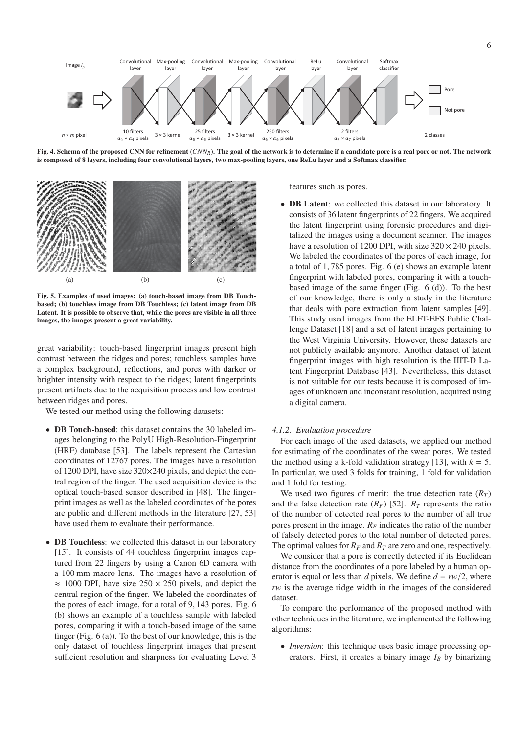

**Fig. 4. Schema of the proposed CNN for refinement (***CNNR***). The goal of the network is to determine if a candidate pore is a real pore or not. The network is composed of 8 layers, including four convolutional layers, two max-pooling layers, one ReLu layer and a Softmax classifier.**



**Fig. 5. Examples of used images: (a) touch-based image from DB Touchbased; (b) touchless image from DB Touchless; (c) latent image from DB Latent. It is possible to observe that, while the pores are visible in all three images, the images present a great variability.**

great variability: touch-based fingerprint images present high contrast between the ridges and pores; touchless samples have a complex background, reflections, and pores with darker or brighter intensity with respect to the ridges; latent fingerprints present artifacts due to the acquisition process and low contrast between ridges and pores.

We tested our method using the following datasets:

- **DB Touch-based**: this dataset contains the 30 labeled images belonging to the PolyU High-Resolution-Fingerprint (HRF) database [53]. The labels represent the Cartesian coordinates of 12767 pores. The images have a resolution of 1200 DPI, have size 320×240 pixels, and depict the central region of the finger. The used acquisition device is the optical touch-based sensor described in [48]. The fingerprint images as well as the labeled coordinates of the pores are public and different methods in the literature [27, 53] have used them to evaluate their performance.
- **DB Touchless**: we collected this dataset in our laboratory [15]. It consists of 44 touchless fingerprint images captured from 22 fingers by using a Canon 6D camera with a 100 mm macro lens. The images have a resolution of  $\approx 1000$  DPI, have size 250  $\times$  250 pixels, and depict the central region of the finger. We labeled the coordinates of the pores of each image, for a total of 9, 143 pores. Fig. 6 (b) shows an example of a touchless sample with labeled pores, comparing it with a touch-based image of the same finger (Fig. 6 (a)). To the best of our knowledge, this is the only dataset of touchless fingerprint images that present sufficient resolution and sharpness for evaluating Level 3

features such as pores.

• **DB Latent**: we collected this dataset in our laboratory. It consists of 36 latent fingerprints of 22 fingers. We acquired the latent fingerprint using forensic procedures and digitalized the images using a document scanner. The images have a resolution of 1200 DPI, with size  $320 \times 240$  pixels. We labeled the coordinates of the pores of each image, for a total of 1, 785 pores. Fig. 6 (e) shows an example latent fingerprint with labeled pores, comparing it with a touchbased image of the same finger (Fig. 6 (d)). To the best of our knowledge, there is only a study in the literature that deals with pore extraction from latent samples [49]. This study used images from the ELFT-EFS Public Challenge Dataset [18] and a set of latent images pertaining to the West Virginia University. However, these datasets are not publicly available anymore. Another dataset of latent fingerprint images with high resolution is the IIIT-D Latent Fingerprint Database [43]. Nevertheless, this dataset is not suitable for our tests because it is composed of images of unknown and inconstant resolution, acquired using a digital camera.

#### *4.1.2. Evaluation procedure*

For each image of the used datasets, we applied our method for estimating of the coordinates of the sweat pores. We tested the method using a k-fold validation strategy [13], with  $k = 5$ . In particular, we used 3 folds for training, 1 fold for validation and 1 fold for testing.

We used two figures of merit: the true detection rate  $(R_T)$ and the false detection rate  $(R_F)$  [52].  $R_T$  represents the ratio of the number of detected real pores to the number of all true pores present in the image.  $R_F$  indicates the ratio of the number of falsely detected pores to the total number of detected pores. The optimal values for  $R_F$  and  $R_T$  are zero and one, respectively.

We consider that a pore is correctly detected if its Euclidean distance from the coordinates of a pore labeled by a human operator is equal or less than *d* pixels. We define  $d = rw/2$ , where *rw* is the average ridge width in the images of the considered dataset.

To compare the performance of the proposed method with other techniques in the literature, we implemented the following algorithms:

• *Inversion*: this technique uses basic image processing operators. First, it creates a binary image  $I_B$  by binarizing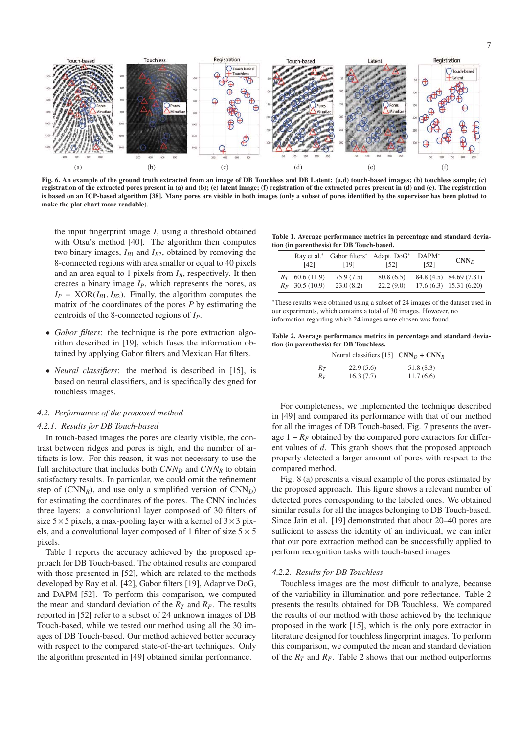

**Fig. 6. An example of the ground truth extracted from an image of DB Touchless and DB Latent: (a,d) touch-based images; (b) touchless sample; (c) registration of the extracted pores present in (a) and (b); (e) latent image; (f) registration of the extracted pores present in (d) and (e). The registration is based on an ICP-based algorithm [38]. Many pores are visible in both images (only a subset of pores identified by the supervisor has been plotted to make the plot chart more readable).**

the input fingerprint image *I*, using a threshold obtained with Otsu's method [40]. The algorithm then computes two binary images,  $I_{B1}$  and  $I_{B2}$ , obtained by removing the 8-connected regions with area smaller or equal to 40 pixels and an area equal to 1 pixels from  $I_B$ , respectively. It then creates a binary image  $I_P$ , which represents the pores, as  $I_P$  =  $XOR(I_{B1}, I_{B2})$ . Finally, the algorithm computes the matrix of the coordinates of the pores *P* by estimating the centroids of the 8-connected regions of *IP*.

- *Gabor filters*: the technique is the pore extraction algorithm described in [19], which fuses the information obtained by applying Gabor filters and Mexican Hat filters.
- *Neural classifiers*: the method is described in [15], is based on neural classifiers, and is specifically designed for touchless images.

#### *4.2. Performance of the proposed method*

#### *4.2.1. Results for DB Touch-based*

In touch-based images the pores are clearly visible, the contrast between ridges and pores is high, and the number of artifacts is low. For this reason, it was not necessary to use the full architecture that includes both  $CNN<sub>D</sub>$  and  $CNN<sub>R</sub>$  to obtain satisfactory results. In particular, we could omit the refinement step of  $(CNN<sub>R</sub>)$ , and use only a simplified version of  $CNN<sub>D</sub>$ ) for estimating the coordinates of the pores. The CNN includes three layers: a convolutional layer composed of 30 filters of size  $5 \times 5$  pixels, a max-pooling layer with a kernel of  $3 \times 3$  pixels, and a convolutional layer composed of 1 filter of size  $5 \times 5$ pixels.

Table 1 reports the accuracy achieved by the proposed approach for DB Touch-based. The obtained results are compared with those presented in [52], which are related to the methods developed by Ray et al. [42], Gabor filters [19], Adaptive DoG, and DAPM [52]. To perform this comparison, we computed the mean and standard deviation of the  $R_T$  and  $R_F$ . The results reported in [52] refer to a subset of 24 unknown images of DB Touch-based, while we tested our method using all the 30 images of DB Touch-based. Our method achieved better accuracy with respect to the compared state-of-the-art techniques. Only the algorithm presented in [49] obtained similar performance.

**Table 1. Average performance metrics in percentage and standard deviation (in parenthesis) for DB Touch-based.**

| [42]                                   | Ray et al.* Gabor filters* Adapt. DoG*<br>[19] | $\sqrt{521}$           | $DAPM^*$<br>[52] | CNN <sub>D</sub>                                     |  |
|----------------------------------------|------------------------------------------------|------------------------|------------------|------------------------------------------------------|--|
| $R_T$ 60.6 (11.9)<br>$R_F$ 30.5 (10.9) | 75.9(7.5)<br>23.0(8.2)                         | 80.8(6.5)<br>22.2(9.0) |                  | 84.8 (4.5) 84.69 (7.81)<br>$17.6(6.3)$ $15.31(6.20)$ |  |

<sup>∗</sup>These results were obtained using a subset of 24 images of the dataset used in our experiments, which contains a total of 30 images. However, no information regarding which 24 images were chosen was found.

**Table 2. Average performance metrics in percentage and standard deviation (in parenthesis) for DB Touchless.**

|       | Neural classifiers [15] $CNN_D + CNN_R$ |           |
|-------|-----------------------------------------|-----------|
| $R_T$ | 22.9(5.6)                               | 51.8(8.3) |
| $R_F$ | 16.3(7.7)                               | 11.7(6.6) |

For completeness, we implemented the technique described in [49] and compared its performance with that of our method for all the images of DB Touch-based. Fig. 7 presents the average  $1 - R_F$  obtained by the compared pore extractors for different values of *d*. This graph shows that the proposed approach properly detected a larger amount of pores with respect to the compared method.

Fig. 8 (a) presents a visual example of the pores estimated by the proposed approach. This figure shows a relevant number of detected pores corresponding to the labeled ones. We obtained similar results for all the images belonging to DB Touch-based. Since Jain et al. [19] demonstrated that about 20–40 pores are sufficient to assess the identity of an individual, we can infer that our pore extraction method can be successfully applied to perform recognition tasks with touch-based images.

## *4.2.2. Results for DB Touchless*

Touchless images are the most difficult to analyze, because of the variability in illumination and pore reflectance. Table 2 presents the results obtained for DB Touchless. We compared the results of our method with those achieved by the technique proposed in the work [15], which is the only pore extractor in literature designed for touchless fingerprint images. To perform this comparison, we computed the mean and standard deviation of the  $R_T$  and  $R_F$ . Table 2 shows that our method outperforms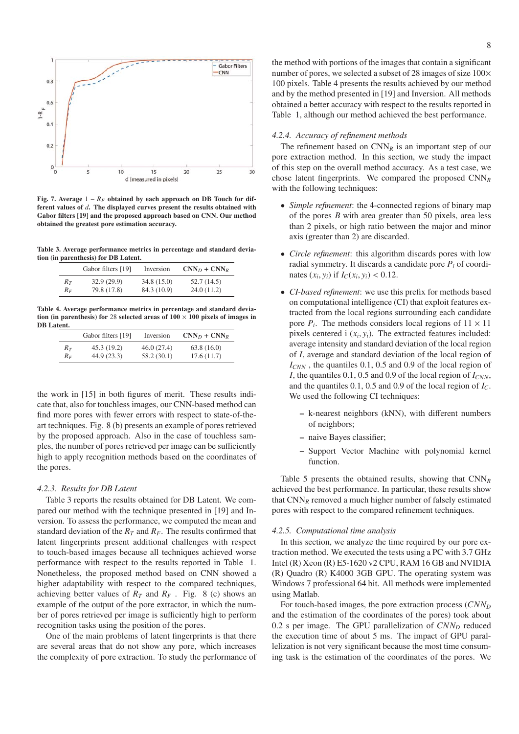

**Fig. 7. Average** 1 − *RF* **obtained by each approach on DB Touch for different values of** *d***. The displayed curves present the results obtained with Gabor filters [19] and the proposed approach based on CNN. Our method obtained the greatest pore estimation accuracy.**

**Table 3. Average performance metrics in percentage and standard deviation (in parenthesis) for DB Latent.**

|       | Gabor filters [19] | Inversion   | $CNND + CNNR$ |
|-------|--------------------|-------------|---------------|
| $R_T$ | 32.9(29.9)         | 34.8 (15.0) | 52.7(14.5)    |
| $R_F$ | 79.8 (17.8)        | 84.3 (10.9) | 24.0(11.2)    |

**Table 4. Average performance metrics in percentage and standard deviation (in parenthesis) for** 28 **selected areas of**  $100 \times 100$  pixels of images in **DB Latent.**

|       | Gabor filters [19] | Inversion   | $CNND + CNNR$ |
|-------|--------------------|-------------|---------------|
| $R_T$ | 45.3 (19.2)        | 46.0(27.4)  | 63.8(16.0)    |
| $R_F$ | 44.9(23.3)         | 58.2 (30.1) | 17.6(11.7)    |

the work in [15] in both figures of merit. These results indicate that, also for touchless images, our CNN-based method can find more pores with fewer errors with respect to state-of-theart techniques. Fig. 8 (b) presents an example of pores retrieved by the proposed approach. Also in the case of touchless samples, the number of pores retrieved per image can be sufficiently high to apply recognition methods based on the coordinates of the pores.

#### *4.2.3. Results for DB Latent*

Table 3 reports the results obtained for DB Latent. We compared our method with the technique presented in [19] and Inversion. To assess the performance, we computed the mean and standard deviation of the  $R_T$  and  $R_F$ . The results confirmed that latent fingerprints present additional challenges with respect to touch-based images because all techniques achieved worse performance with respect to the results reported in Table 1. Nonetheless, the proposed method based on CNN showed a higher adaptability with respect to the compared techniques, achieving better values of  $R_T$  and  $R_F$ . Fig. 8 (c) shows an example of the output of the pore extractor, in which the number of pores retrieved per image is sufficiently high to perform recognition tasks using the position of the pores.

One of the main problems of latent fingerprints is that there are several areas that do not show any pore, which increases the complexity of pore extraction. To study the performance of the method with portions of the images that contain a significant number of pores, we selected a subset of 28 images of size 100× 100 pixels. Table 4 presents the results achieved by our method and by the method presented in [19] and Inversion. All methods obtained a better accuracy with respect to the results reported in Table 1, although our method achieved the best performance.

## *4.2.4. Accuracy of refinement methods*

The refinement based on  $CNN<sub>R</sub>$  is an important step of our pore extraction method. In this section, we study the impact of this step on the overall method accuracy. As a test case, we chose latent fingerprints. We compared the proposed CNN*<sup>R</sup>* with the following techniques:

- *Simple refinement*: the 4-connected regions of binary map of the pores *B* with area greater than 50 pixels, area less than 2 pixels, or high ratio between the major and minor axis (greater than 2) are discarded.
- *Circle refinement*: this algorithm discards pores with low radial symmetry. It discards a candidate pore *Pi* of coordinates  $(x_i, y_i)$  if  $I_C(x_i, y_i) < 0.12$ .
- *CI-based refinement*: we use this prefix for methods based on computational intelligence (CI) that exploit features extracted from the local regions surrounding each candidate pore  $P_i$ . The methods considers local regions of  $11 \times 11$ pixels centered i  $(x_i, y_i)$ . The extracted features included: average intensity and standard deviation of the local region of *I*, average and standard deviation of the local region of *I<sub>CNN</sub>*, the quantiles 0.1, 0.5 and 0.9 of the local region of *I*, the quantiles 0.1, 0.5 and 0.9 of the local region of  $I_{CNN}$ , and the quantiles 0.1, 0.5 and 0.9 of the local region of *IC*. We used the following CI techniques:
	- **–** k-nearest neighbors (kNN), with different numbers of neighbors;
	- **–** naive Bayes classifier;
	- **–** Support Vector Machine with polynomial kernel function.

Table 5 presents the obtained results, showing that CNN*<sup>R</sup>* achieved the best performance. In particular, these results show that CNN*<sup>R</sup>* removed a much higher number of falsely estimated pores with respect to the compared refinement techniques.

# *4.2.5. Computational time analysis*

In this section, we analyze the time required by our pore extraction method. We executed the tests using a PC with 3.7 GHz Intel (R) Xeon (R) E5-1620 v2 CPU, RAM 16 GB and NVIDIA (R) Quadro (R) K4000 3GB GPU. The operating system was Windows 7 professional 64 bit. All methods were implemented using Matlab.

For touch-based images, the pore extraction process (*CNN<sub>D</sub>*) and the estimation of the coordinates of the pores) took about 0.2 s per image. The GPU parallelization of  $CNN<sub>D</sub>$  reduced the execution time of about 5 ms. The impact of GPU parallelization is not very significant because the most time consuming task is the estimation of the coordinates of the pores. We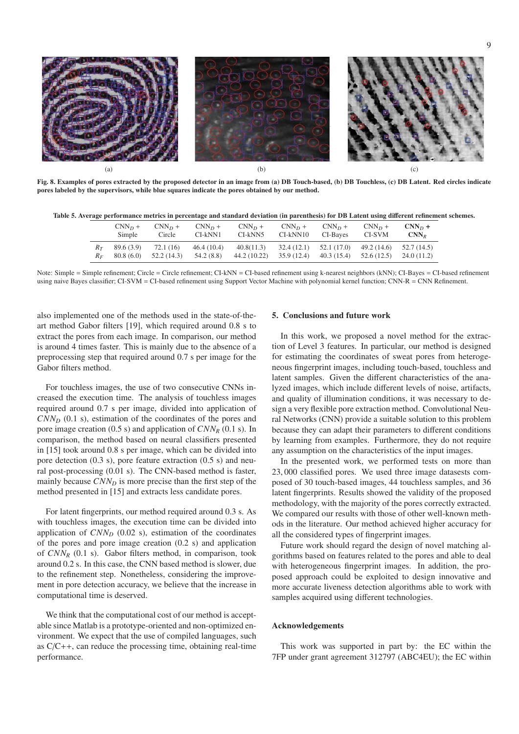

**Fig. 8. Examples of pores extracted by the proposed detector in an image from (a) DB Touch-based, (b) DB Touchless, (c) DB Latent. Red circles indicate pores labeled by the supervisors, while blue squares indicate the pores obtained by our method.**

**Table 5. Average performance metrics in percentage and standard deviation (in parenthesis) for DB Latent using di**ff**erent refinement schemes.**

|       | $CNND +$      | $CNND +$   | $CNND +$   | $CNND +$     | $CNND +$    | $CNND +$    | $CNND +$    | $CNND +$         |
|-------|---------------|------------|------------|--------------|-------------|-------------|-------------|------------------|
|       | <b>Simple</b> | Circle     | $CI-kNN1$  | CI-kNN5      | CI-kNN10    | CI-Bayes    | CI-SVM      | CNN <sub>p</sub> |
| $R_T$ | 89.6 (3.9)    | 72.1 (16)  | 46.4(10.4) | 40.8(11.3)   | 32.4(12.1)  | 52.1 (17.0) | 49.2 (14.6) | 52.7 (14.5)      |
| $R_F$ | 80.8(6.0)     | 52.2(14.3) | 54.2 (8.8) | 44.2 (10.22) | 35.9 (12.4) | 40.3(15.4)  | 52.6(12.5)  | 24.0(11.2)       |

Note: Simple = Simple refinement; Circle = Circle refinement; CI-kNN = CI-based refinement using k-nearest neighbors (kNN); CI-Bayes = CI-based refinement using naive Bayes classifier; CI-SVM = CI-based refinement using Support Vector Machine with polynomial kernel function; CNN-R = CNN Refinement.

also implemented one of the methods used in the state-of-theart method Gabor filters [19], which required around 0.8 s to extract the pores from each image. In comparison, our method is around 4 times faster. This is mainly due to the absence of a preprocessing step that required around 0.7 s per image for the Gabor filters method.

For touchless images, the use of two consecutive CNNs increased the execution time. The analysis of touchless images required around 0.7 s per image, divided into application of *CNND* (0.1 s), estimation of the coordinates of the pores and pore image creation  $(0.5 \text{ s})$  and application of  $CNN_R$   $(0.1 \text{ s})$ . In comparison, the method based on neural classifiers presented in [15] took around 0.8 s per image, which can be divided into pore detection (0.3 s), pore feature extraction (0.5 s) and neural post-processing (0.01 s). The CNN-based method is faster, mainly because  $CNN<sub>D</sub>$  is more precise than the first step of the method presented in [15] and extracts less candidate pores.

For latent fingerprints, our method required around 0.3 s. As with touchless images, the execution time can be divided into application of  $CNN_D$  (0.02 s), estimation of the coordinates of the pores and pore image creation (0.2 s) and application of *CNNR* (0.1 s). Gabor filters method, in comparison, took around 0.2 s. In this case, the CNN based method is slower, due to the refinement step. Nonetheless, considering the improvement in pore detection accuracy, we believe that the increase in computational time is deserved.

We think that the computational cost of our method is acceptable since Matlab is a prototype-oriented and non-optimized environment. We expect that the use of compiled languages, such as C/C++, can reduce the processing time, obtaining real-time performance.

## **5. Conclusions and future work**

In this work, we proposed a novel method for the extraction of Level 3 features. In particular, our method is designed for estimating the coordinates of sweat pores from heterogeneous fingerprint images, including touch-based, touchless and latent samples. Given the different characteristics of the analyzed images, which include different levels of noise, artifacts, and quality of illumination conditions, it was necessary to design a very flexible pore extraction method. Convolutional Neural Networks (CNN) provide a suitable solution to this problem because they can adapt their parameters to different conditions by learning from examples. Furthermore, they do not require any assumption on the characteristics of the input images.

In the presented work, we performed tests on more than 23, 000 classified pores. We used three image datasests composed of 30 touch-based images, 44 touchless samples, and 36 latent fingerprints. Results showed the validity of the proposed methodology, with the majority of the pores correctly extracted. We compared our results with those of other well-known methods in the literature. Our method achieved higher accuracy for all the considered types of fingerprint images.

Future work should regard the design of novel matching algorithms based on features related to the pores and able to deal with heterogeneous fingerprint images. In addition, the proposed approach could be exploited to design innovative and more accurate liveness detection algorithms able to work with samples acquired using different technologies.

# **Acknowledgements**

This work was supported in part by: the EC within the 7FP under grant agreement 312797 (ABC4EU); the EC within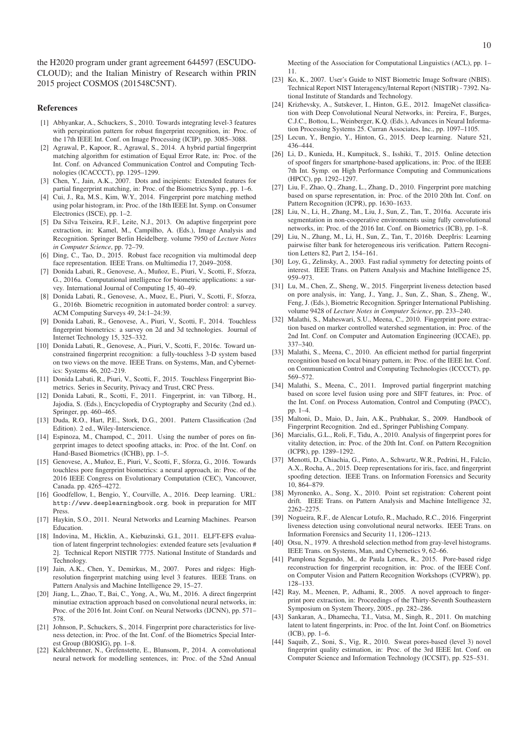the H2020 program under grant agreement 644597 (ESCUDO-CLOUD); and the Italian Ministry of Research within PRIN 2015 project COSMOS (201548C5NT).

#### **References**

- [1] Abhyankar, A., Schuckers, S., 2010. Towards integrating level-3 features with perspiration pattern for robust fingerprint recognition, in: Proc. of the 17th IEEE Int. Conf. on Image Processing (ICIP), pp. 3085–3088.
- [2] Agrawal, P., Kapoor, R., Agrawal, S., 2014. A hybrid partial fingerprint matching algorithm for estimation of Equal Error Rate, in: Proc. of the Int. Conf. on Advanced Communication Control and Computing Technologies (ICACCCT), pp. 1295–1299.
- [3] Chen, Y., Jain, A.K., 2007. Dots and incipients: Extended features for partial fingerprint matching, in: Proc. of the Biometrics Symp., pp. 1–6.
- [4] Cui, J., Ra, M.S., Kim, W.Y., 2014. Fingerprint pore matching method using polar histogram, in: Proc. of the 18th IEEE Int. Symp. on Consumer Electronics (ISCE), pp. 1–2.
- [5] Da Silva Teixeira, R.F., Leite, N.J., 2013. On adaptive fingerprint pore extraction, in: Kamel, M., Campilho, A. (Eds.), Image Analysis and Recognition. Springer Berlin Heidelberg. volume 7950 of *Lecture Notes in Computer Science*, pp. 72–79.
- [6] Ding, C., Tao, D., 2015. Robust face recognition via multimodal deep face representation. IEEE Trans. on Multimedia 17, 2049–2058.
- [7] Donida Labati, R., Genovese, A., Muñoz, E., Piuri, V., Scotti, F., Sforza, G., 2016a. Computational intelligence for biometric applications: a survey. International Journal of Computing 15, 40–49.
- [8] Donida Labati, R., Genovese, A., Muoz, E., Piuri, V., Scotti, F., Sforza, G., 2016b. Biometric recognition in automated border control: a survey. ACM Computing Surveys 49, 24:1–24:39.
- [9] Donida Labati, R., Genovese, A., Piuri, V., Scotti, F., 2014. Touchless fingerprint biometrics: a survey on 2d and 3d technologies. Journal of Internet Technology 15, 325–332.
- [10] Donida Labati, R., Genovese, A., Piuri, V., Scotti, F., 2016c. Toward unconstrained fingerprint recognition: a fully-touchless 3-D system based on two views on the move. IEEE Trans. on Systems, Man, and Cybernetics: Systems 46, 202–219.
- [11] Donida Labati, R., Piuri, V., Scotti, F., 2015. Touchless Fingerprint Biometrics. Series in Security, Privacy and Trust, CRC Press.
- [12] Donida Labati, R., Scotti, F., 2011. Fingerprint, in: van Tilborg, H., Jajodia, S. (Eds.), Encyclopedia of Cryptography and Security (2nd ed.). Springer, pp. 460–465.
- [13] Duda, R.O., Hart, P.E., Stork, D.G., 2001. Pattern Classification (2nd Edition). 2 ed., Wiley-Interscience.
- [14] Espinoza, M., Champod, C., 2011. Using the number of pores on fingerprint images to detect spoofing attacks, in: Proc. of the Int. Conf. on Hand-Based Biometrics (ICHB), pp. 1–5.
- [15] Genovese, A., Muñoz, E., Piuri, V., Scotti, F., Sforza, G., 2016. Towards touchless pore fingerprint biometrics: a neural approach, in: Proc. of the 2016 IEEE Congress on Evolutionary Computation (CEC), Vancouver, Canada. pp. 4265–4272.
- [16] Goodfellow, I., Bengio, Y., Courville, A., 2016. Deep learning. URL: http://www.deeplearningbook.org. book in preparation for MIT Press.
- [17] Haykin, S.O., 2011. Neural Networks and Learning Machines. Pearson Education.
- [18] Indovina, M., Hicklin, A., Kiebuzinski, G.I., 2011. ELFT-EFS evaluation of latent fingerprint technologies: extended feature sets [evaluation # 2]. Technical Report NISTIR 7775. National Institute of Standards and Technology.
- [19] Jain, A.K., Chen, Y., Demirkus, M., 2007. Pores and ridges: Highresolution fingerprint matching using level 3 features. IEEE Trans. on Pattern Analysis and Machine Intelligence 29, 15–27.
- [20] Jiang, L., Zhao, T., Bai, C., Yong, A., Wu, M., 2016. A direct fingerprint minutiae extraction approach based on convolutional neural networks, in: Proc. of the 2016 Int. Joint Conf. on Neural Networks (IJCNN), pp. 571– 578.
- [21] Johnson, P., Schuckers, S., 2014. Fingerprint pore characteristics for liveness detection, in: Proc. of the Int. Conf. of the Biometrics Special Interest Group (BIOSIG), pp. 1–8.
- [22] Kalchbrenner, N., Grefenstette, E., Blunsom, P., 2014. A convolutional neural network for modelling sentences, in: Proc. of the 52nd Annual

Meeting of the Association for Computational Linguistics (ACL), pp. 1– 11.

- [23] Ko, K., 2007. User's Guide to NIST Biometric Image Software (NBIS). Technical Report NIST Interagency/Internal Report (NISTIR) - 7392. National Institute of Standards and Technology.
- [24] Krizhevsky, A., Sutskever, I., Hinton, G.E., 2012. ImageNet classification with Deep Convolutional Neural Networks, in: Pereira, F., Burges, C.J.C., Bottou, L., Weinberger, K.Q. (Eds.), Advances in Neural Information Processing Systems 25. Curran Associates, Inc., pp. 1097–1105.
- [25] Lecun, Y., Bengio, Y., Hinton, G., 2015. Deep learning. Nature 521, 436–444.
- [26] Li, D., Kunieda, H., Kumpituck, S., Isshiki, T., 2015. Online detection of spoof fingers for smartphone-based applications, in: Proc. of the IEEE 7th Int. Symp. on High Performance Computing and Communications (HPCC), pp. 1292–1297.
- [27] Liu, F., Zhao, Q., Zhang, L., Zhang, D., 2010. Fingerprint pore matching based on sparse representation, in: Proc. of the 2010 20th Int. Conf. on Pattern Recognition (ICPR), pp. 1630–1633.
- [28] Liu, N., Li, H., Zhang, M., Liu, J., Sun, Z., Tan, T., 2016a. Accurate iris segmentation in non-cooperative environments using fully convolutional networks, in: Proc. of the 2016 Int. Conf. on Biometrics (ICB), pp. 1–8.
- [29] Liu, N., Zhang, M., Li, H., Sun, Z., Tan, T., 2016b. DeepIris: Learning pairwise filter bank for heterogeneous iris verification. Pattern Recognition Letters 82, Part 2, 154–161.
- [30] Loy, G., Zelinsky, A., 2003. Fast radial symmetry for detecting points of interest. IEEE Trans. on Pattern Analysis and Machine Intelligence 25, 959–973.
- [31] Lu, M., Chen, Z., Sheng, W., 2015. Fingerprint liveness detection based on pore analysis, in: Yang, J., Yang, J., Sun, Z., Shan, S., Zheng, W., Feng, J. (Eds.), Biometric Recognition. Springer International Publishing. volume 9428 of *Lecture Notes in Computer Science*, pp. 233–240.
- [32] Malathi, S., Maheswari, S.U., Meena, C., 2010. Fingerprint pore extraction based on marker controlled watershed segmentation, in: Proc. of the 2nd Int. Conf. on Computer and Automation Engineering (ICCAE), pp. 337–340.
- [33] Malathi, S., Meena, C., 2010. An efficient method for partial fingerprint recognition based on local binary pattern, in: Proc. of the IEEE Int. Conf. on Communication Control and Computing Technologies (ICCCCT), pp. 569–572.
- [34] Malathi, S., Meena, C., 2011. Improved partial fingerprint matching based on score level fusion using pore and SIFT features, in: Proc. of the Int. Conf. on Process Automation, Control and Computing (PACC), pp. 1–4.
- [35] Maltoni, D., Maio, D., Jain, A.K., Prabhakar, S., 2009. Handbook of Fingerprint Recognition. 2nd ed., Springer Publishing Company.
- [36] Marcialis, G.L., Roli, F., Tidu, A., 2010. Analysis of fingerprint pores for vitality detection, in: Proc. of the 20th Int. Conf. on Pattern Recognition (ICPR), pp. 1289–1292.
- [37] Menotti, D., Chiachia, G., Pinto, A., Schwartz, W.R., Pedrini, H., Falcão, A.X., Rocha, A., 2015. Deep representations for iris, face, and fingerprint spoofing detection. IEEE Trans. on Information Forensics and Security 10, 864–879.
- [38] Myronenko, A., Song, X., 2010. Point set registration: Coherent point drift. IEEE Trans. on Pattern Analysis and Machine Intelligence 32, 2262–2275.
- [39] Nogueira, R.F., de Alencar Lotufo, R., Machado, R.C., 2016. Fingerprint liveness detection using convolutional neural networks. IEEE Trans. on Information Forensics and Security 11, 1206–1213.
- [40] Otsu, N., 1979. A threshold selection method from gray-level histograms. IEEE Trans. on Systems, Man, and Cybernetics 9, 62–66.
- [41] Pamplona Segundo, M., de Paula Lemes, R., 2015. Pore-based ridge reconstruction for fingerprint recognition, in: Proc. of the IEEE Conf. on Computer Vision and Pattern Recognition Workshops (CVPRW), pp. 128–133.
- [42] Ray, M., Meenen, P., Adhami, R., 2005. A novel approach to fingerprint pore extraction, in: Proceedings of the Thirty-Seventh Southeastern Symposium on System Theory, 2005., pp. 282–286.
- [43] Sankaran, A., Dhamecha, T.I., Vatsa, M., Singh, R., 2011. On matching latent to latent fingerprints, in: Proc. of the Int. Joint Conf. on Biometrics (ICB), pp. 1–6.
- [44] Saquib, Z., Soni, S., Vig, R., 2010. Sweat pores-based (level 3) novel fingerprint quality estimation, in: Proc. of the 3rd IEEE Int. Conf. on Computer Science and Information Technology (ICCSIT), pp. 525–531.